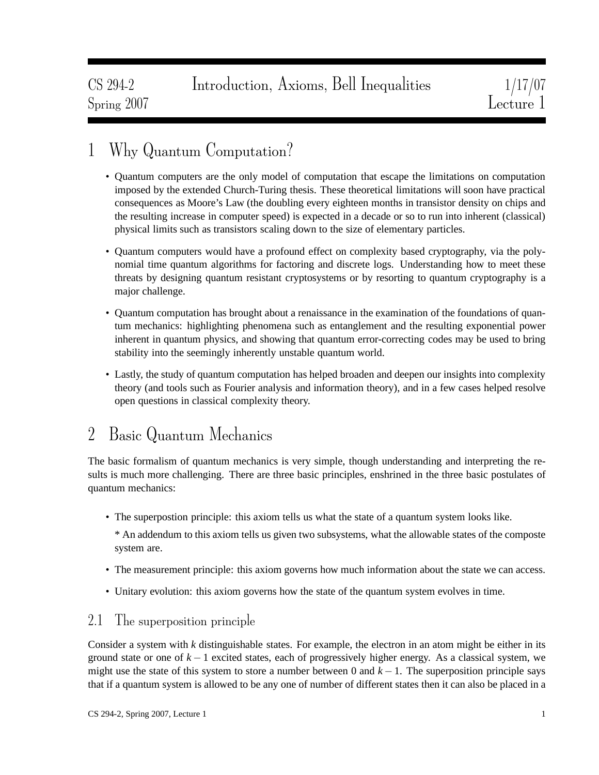# 1 Why Quantum Computation?

- Quantum computers are the only model of computation that escape the limitations on computation imposed by the extended Church-Turing thesis. These theoretical limitations will soon have practical consequences as Moore's Law (the doubling every eighteen months in transistor density on chips and the resulting increase in computer speed) is expected in a decade or so to run into inherent (classical) physical limits such as transistors scaling down to the size of elementary particles.
- Quantum computers would have a profound effect on complexity based cryptography, via the polynomial time quantum algorithms for factoring and discrete logs. Understanding how to meet these threats by designing quantum resistant cryptosystems or by resorting to quantum cryptography is a major challenge.
- Quantum computation has brought about a renaissance in the examination of the foundations of quantum mechanics: highlighting phenomena such as entanglement and the resulting exponential power inherent in quantum physics, and showing that quantum error-correcting codes may be used to bring stability into the seemingly inherently unstable quantum world.
- Lastly, the study of quantum computation has helped broaden and deepen our insights into complexity theory (and tools such as Fourier analysis and information theory), and in a few cases helped resolve open questions in classical complexity theory.

# 2 Basic Quantum Mechanics

The basic formalism of quantum mechanics is very simple, though understanding and interpreting the results is much more challenging. There are three basic principles, enshrined in the three basic postulates of quantum mechanics:

• The superpostion principle: this axiom tells us what the state of a quantum system looks like.

\* An addendum to this axiom tells us given two subsystems, what the allowable states of the composte system are.

- The measurement principle: this axiom governs how much information about the state we can access.
- Unitary evolution: this axiom governs how the state of the quantum system evolves in time.

## 2.1 The superposition principle

Consider a system with *k* distinguishable states. For example, the electron in an atom might be either in its ground state or one of  $k - 1$  excited states, each of progressively higher energy. As a classical system, we might use the state of this system to store a number between 0 and  $k - 1$ . The superposition principle says that if a quantum system is allowed to be any one of number of different states then it can also be placed in a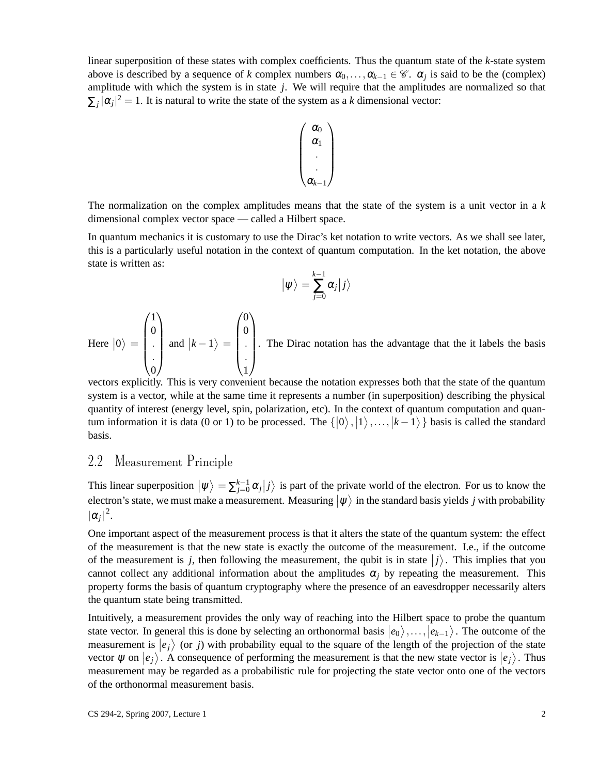linear superposition of these states with complex coefficients. Thus the quantum state of the *k*-state system above is described by a sequence of *k* complex numbers  $\alpha_0, \ldots, \alpha_{k-1} \in \mathscr{C}$ .  $\alpha_j$  is said to be the (complex) amplitude with which the system is in state *j*. We will require that the amplitudes are normalized so that  $\sum_j |\alpha_j|^2 = 1$ . It is natural to write the state of the system as a *k* dimensional vector:



The normalization on the complex amplitudes means that the state of the system is a unit vector in a *k* dimensional complex vector space — called a Hilbert space.

In quantum mechanics it is customary to use the Dirac's ket notation to write vectors. As we shall see later, this is a particularly useful notation in the context of quantum computation. In the ket notation, the above state is written as:

$$
\big|\psi\big>=\sum_{j=0}^{k-1}\alpha_j\big|j\big>
$$

Here  $|0\rangle =$  $\sqrt{ }$  $\Bigg\}$ 1 0 . . 0  $\setminus$  $\int$  and  $|k-1\rangle =$  $\sqrt{ }$  0 0 . . 1  $\setminus$ . The Dirac notation has the advantage that the it labels the basis

vectors explicitly. This is very convenient because the notation expresses both that the state of the quantum system is a vector, while at the same time it represents a number (in superposition) describing the physical quantity of interest (energy level, spin, polarization, etc). In the context of quantum computation and quantum information it is data (0 or 1) to be processed. The  $\{|0\rangle, |1\rangle, \ldots, |k-1\rangle\}$  basis is called the standard basis.

## 2.2 Measurement Principle

This linear superposition  $|\psi\rangle = \sum_{j=0}^{k-1} \alpha_j |j\rangle$  is part of the private world of the electron. For us to know the electron's state, we must make a measurement. Measuring  $|\psi\rangle$  in the standard basis yields *j* with probability  $|\alpha_j|^2$ .

One important aspect of the measurement process is that it alters the state of the quantum system: the effect of the measurement is that the new state is exactly the outcome of the measurement. I.e., if the outcome of the measurement is *j*, then following the measurement, the qubit is in state  $|j\rangle$ . This implies that you cannot collect any additional information about the amplitudes  $\alpha_i$  by repeating the measurement. This property forms the basis of quantum cryptography where the presence of an eavesdropper necessarily alters the quantum state being transmitted.

Intuitively, a measurement provides the only way of reaching into the Hilbert space to probe the quantum state vector. In general this is done by selecting an orthonormal basis  $|e_0\rangle, \ldots, |e_{k-1}\rangle$ . The outcome of the measurement is  $\ket{e_j}$  (or *j*) with probability equal to the square of the length of the projection of the state vector  $\psi$  on  $\ket{e_j}$ . A consequence of performing the measurement is that the new state vector is  $\ket{e_j}$ . Thus measurement may be regarded as a probabilistic rule for projecting the state vector onto one of the vectors of the orthonormal measurement basis.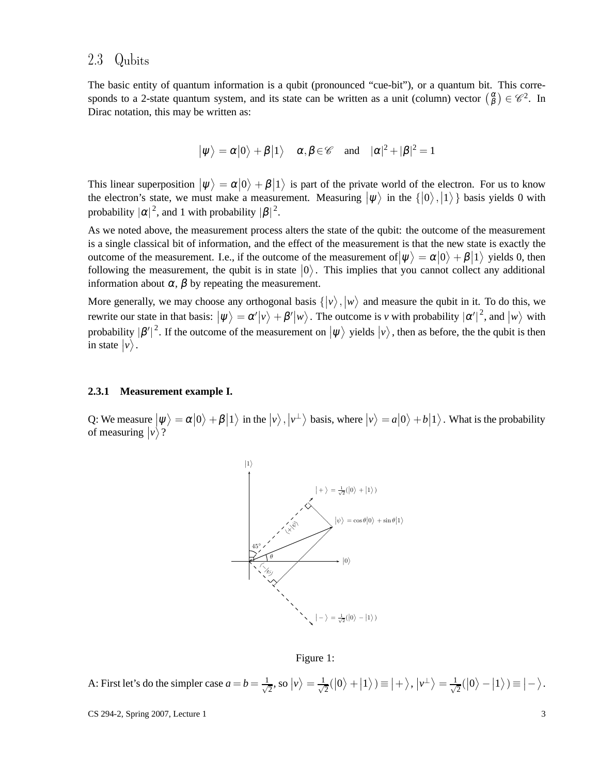## 2.3 Qubits

The basic entity of quantum information is a qubit (pronounced "cue-bit"), or a quantum bit. This corresponds to a 2-state quantum system, and its state can be written as a unit (column) vector  $\binom{\alpha}{\beta} \in \mathscr{C}^2$ . In Dirac notation, this may be written as:

$$
|\psi\rangle = \alpha|0\rangle + \beta|1\rangle
$$
  $\alpha, \beta \in \mathscr{C}$  and  $|\alpha|^2 + |\beta|^2 = 1$ 

This linear superposition  $|\psi\rangle = \alpha |0\rangle + \beta |1\rangle$  is part of the private world of the electron. For us to know the electron's state, we must make a measurement. Measuring  $|\psi\rangle$  in the  $\{|0\rangle, |1\rangle\}$  basis yields 0 with probability  $|\alpha|^2$ , and 1 with probability  $|\beta|^2$ .

As we noted above, the measurement process alters the state of the qubit: the outcome of the measurement is a single classical bit of information, and the effect of the measurement is that the new state is exactly the outcome of the measurement. I.e., if the outcome of the measurement of  $|\psi\rangle = \alpha|0\rangle + \beta|1\rangle$  yields 0, then following the measurement, the qubit is in state  $|0\rangle$ . This implies that you cannot collect any additional information about  $\alpha$ ,  $\beta$  by repeating the measurement.

More generally, we may choose any orthogonal basis  $\{\ket{v}, \ket{w} \}$  and measure the qubit in it. To do this, we rewrite our state in that basis:  $|\psi\rangle = \alpha'|\nu\rangle + \beta'|\nu\rangle$ . The outcome is *v* with probability  $|\alpha'|^2$ , and  $|\nu\rangle$  with probability  $|\beta'|^2$ . If the outcome of the measurement on  $|\psi\rangle$  yields  $|\nu\rangle$ , then as before, the the qubit is then in state  $|v\rangle$ .

### <span id="page-2-1"></span>**2.3.1 Measurement example I.**

Q: We measure  $|\psi\rangle = \alpha |0\rangle + \beta |1\rangle$  in the  $|\psi\rangle$ ,  $|\psi^{\perp}\rangle$  basis, where  $|\psi\rangle = a |0\rangle + b |1\rangle$ . What is the probability of measuring  $|v\rangle$ ?



<span id="page-2-0"></span>Figure 1:

A: First let's do the simpler case  $a = b = \frac{1}{\sqrt{2}}$  $\frac{1}{2}$ , so  $|v\rangle = \frac{1}{\sqrt{2}}$  $\frac{1}{2}(|0\rangle+|1\rangle) \equiv |+\rangle, |\nu^{\perp}\rangle = \frac{1}{\sqrt{2}}$  $\frac{1}{2}(|0\rangle - |1\rangle) \equiv |- \rangle.$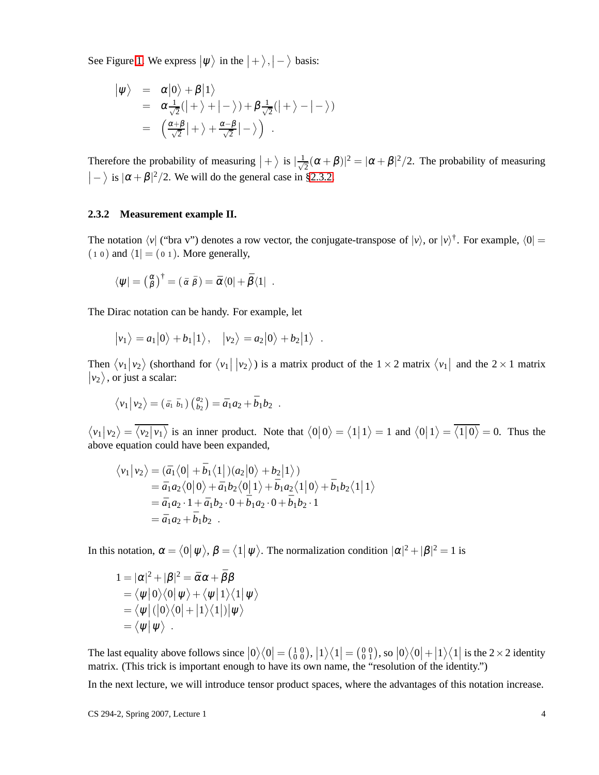See Figure [1.](#page-2-0) We express  $|\psi\rangle$  in the  $|+\rangle, |-\rangle$  basis:

$$
\begin{array}{rcl}\n\left|\psi\right\rangle & = & \alpha|0\rangle + \beta|1\rangle \\
& = & \alpha\frac{1}{\sqrt{2}}(|+\rangle + |-\rangle) + \beta\frac{1}{\sqrt{2}}(|+\rangle - |-\rangle) \\
& = & \left(\frac{\alpha+\beta}{\sqrt{2}}|+\rangle + \frac{\alpha-\beta}{\sqrt{2}}|-\rangle\right)\n\end{array}.
$$

Therefore the probability of measuring  $|+\rangle$  is  $|\frac{1}{\sqrt{\zeta}}\rangle$  $\overline{z}(\alpha + \beta)^2 = |\alpha + \beta|^2/2$ . The probability of measuring  $|-\rangle$  is  $|\alpha + \beta|^2/2$ . We will do the general case in [§2.3.2.](#page-3-0)

### <span id="page-3-0"></span>**2.3.2 Measurement example II.**

The notation  $\langle v |$  ("bra v") denotes a row vector, the conjugate-transpose of  $|v\rangle$ , or  $|v\rangle^{\dagger}$ . For example,  $\langle 0 | =$  $(1 0)$  and  $\langle 1| = (0 1)$ . More generally,

$$
\langle \psi | = \left(\begin{matrix} \alpha \\ \beta \end{matrix}\right)^{\dagger} = (\bar{\alpha} \bar{\beta}) = \bar{\alpha} \langle 0 | + \bar{\beta} \langle 1 |.
$$

The Dirac notation can be handy. For example, let

$$
|v_1\rangle = a_1|0\rangle + b_1|1\rangle, \quad |v_2\rangle = a_2|0\rangle + b_2|1\rangle
$$

Then  $\langle v_1 | v_2 \rangle$  (shorthand for  $\langle v_1 | v_2 \rangle$ ) is a matrix product of the  $1 \times 2$  matrix  $\langle v_1 |$  and the  $2 \times 1$  matrix  $|v_2\rangle$ , or just a scalar:

.

$$
\langle v_1 | v_2 \rangle = (a_1 \, \bar{b}_1) \left( \begin{matrix} a_2 \\ b_2 \end{matrix} \right) = \bar{a}_1 a_2 + \bar{b}_1 b_2 \; .
$$

 $\langle v_1 | v_2 \rangle = \langle v_2 | v_1 \rangle$  is an inner product. Note that  $\langle 0 | 0 \rangle = \langle 1 | 1 \rangle = 1$  and  $\langle 0 | 1 \rangle = \langle 1 | 0 \rangle = 0$ . Thus the above equation could have been expanded,

$$
\langle v_1 | v_2 \rangle = (\bar{a}_1 \langle 0 | + \bar{b}_1 \langle 1 |) (a_2 | 0 \rangle + b_2 | 1 \rangle)
$$
  
=  $\bar{a}_1 a_2 \langle 0 | 0 \rangle + \bar{a}_1 b_2 \langle 0 | 1 \rangle + \bar{b}_1 a_2 \langle 1 | 0 \rangle + \bar{b}_1 b_2 \langle 1 | 1 \rangle$   
=  $\bar{a}_1 a_2 \cdot 1 + \bar{a}_1 b_2 \cdot 0 + \bar{b}_1 a_2 \cdot 0 + \bar{b}_1 b_2 \cdot 1$   
=  $\bar{a}_1 a_2 + \bar{b}_1 b_2$ .

In this notation,  $\alpha = \langle 0 | \psi \rangle$ ,  $\beta = \langle 1 | \psi \rangle$ . The normalization condition  $|\alpha|^2 + |\beta|^2 = 1$  is

$$
1 = |\alpha|^2 + |\beta|^2 = \bar{\alpha}\alpha + \bar{\beta}\beta
$$
  
=  $\langle \psi | 0 \rangle \langle 0 | \psi \rangle + \langle \psi | 1 \rangle \langle 1 | \psi \rangle$   
=  $\langle \psi | (0 \rangle \langle 0 | + | 1 \rangle \langle 1 |) | \psi \rangle$   
=  $\langle \psi | \psi \rangle$ .

The last equality above follows since  $|0\rangle\langle 0| = \begin{pmatrix} 1 & 0 \\ 0 & 0 \end{pmatrix}$ ,  $|1\rangle\langle 1| = \begin{pmatrix} 0 & 0 \\ 0 & 1 \end{pmatrix}$ , so  $|0\rangle\langle 0| + |1\rangle\langle 1|$  is the 2×2 identity matrix. (This trick is important enough to have its own name, the "resolution of the identity.")

In the next lecture, we will introduce tensor product spaces, where the advantages of this notation increase.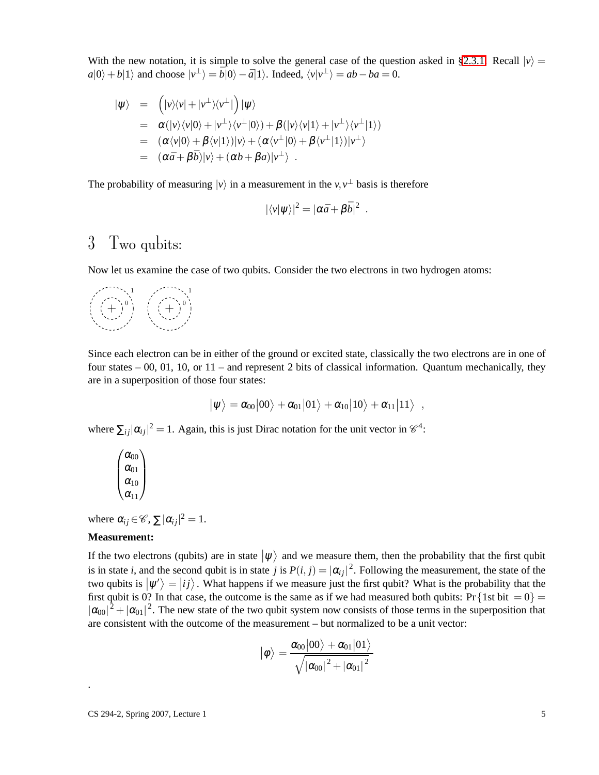With the new notation, it is simple to solve the general case of the question asked in [§2.3.1.](#page-2-1) Recall  $|v\rangle$  =  $a|0\rangle + b|1\rangle$  and choose  $|v^{\perp}\rangle = \bar{b}|0\rangle - \bar{a}|1\rangle$ . Indeed,  $\langle v|v^{\perp}\rangle = ab - ba = 0$ .

$$
\begin{array}{rcl}\n|\psi\rangle & = & \left(|\nu\rangle\langle\nu|+|\nu^{\perp}\rangle\langle\nu^{\perp}|\right)|\psi\rangle \\
& = & \alpha(|\nu\rangle\langle\nu|0\rangle+|\nu^{\perp}\rangle\langle\nu^{\perp}|0\rangle)+\beta(|\nu\rangle\langle\nu|1\rangle+|\nu^{\perp}\rangle\langle\nu^{\perp}|1\rangle) \\
& = & (\alpha\langle\nu|0\rangle+\beta\langle\nu|1\rangle)|\nu\rangle+(\alpha\langle\nu^{\perp}|0\rangle+\beta\langle\nu^{\perp}|1\rangle)|\nu^{\perp}\rangle \\
& = & (\alpha\bar{a}+\beta\bar{b})|\nu\rangle+(\alpha b+\beta a)|\nu^{\perp}\rangle\n\end{array}
$$

The probability of measuring  $|v\rangle$  in a measurement in the  $v, v^{\perp}$  basis is therefore

$$
|\langle v|\psi\rangle|^2 = |\alpha \bar{a} + \beta \bar{b}|^2.
$$

## 3 Two qubits:

Now let us examine the case of two qubits. Consider the two electrons in two hydrogen atoms:



Since each electron can be in either of the ground or excited state, classically the two electrons are in one of four states  $-00$ , 01, 10, or 11 – and represent 2 bits of classical information. Quantum mechanically, they are in a superposition of those four states:

$$
|\psi\rangle = \alpha_{00}|00\rangle + \alpha_{01}|01\rangle + \alpha_{10}|10\rangle + \alpha_{11}|11\rangle
$$

,

where  $\sum_{ij} |\alpha_{ij}|^2 = 1$ . Again, this is just Dirac notation for the unit vector in  $\mathcal{C}^4$ :

$$
\begin{pmatrix}\alpha_{00}\\ \alpha_{01}\\ \alpha_{10}\\ \alpha_{11}\end{pmatrix}
$$

where  $\alpha_{ij} \in \mathscr{C}$ ,  $\sum |\alpha_{ij}|^2 = 1$ .

#### **Measurement:**

.

If the two electrons (qubits) are in state  $|\psi\rangle$  and we measure them, then the probability that the first qubit is in state *i*, and the second qubit is in state *j* is  $P(i, j) = |\alpha_{ij}|^2$ . Following the measurement, the state of the two qubits is  $|\psi'\rangle = |ij\rangle$ . What happens if we measure just the first qubit? What is the probability that the ļ first qubit is 0? In that case, the outcome is the same as if we had measured both qubits: Pr {1st bit  $= 0$ } =  $|\alpha_{00}|^2 + |\alpha_{01}|^2$ . The new state of the two qubit system now consists of those terms in the superposition that are consistent with the outcome of the measurement – but normalized to be a unit vector:

$$
\left|\phi\right\rangle=\frac{\alpha_{00}\!\left|00\right\rangle+\alpha_{01}\!\left|01\right\rangle}{\sqrt{\left|\alpha_{00}\right|^{2}+\left|\alpha_{01}\right|^{2}}}
$$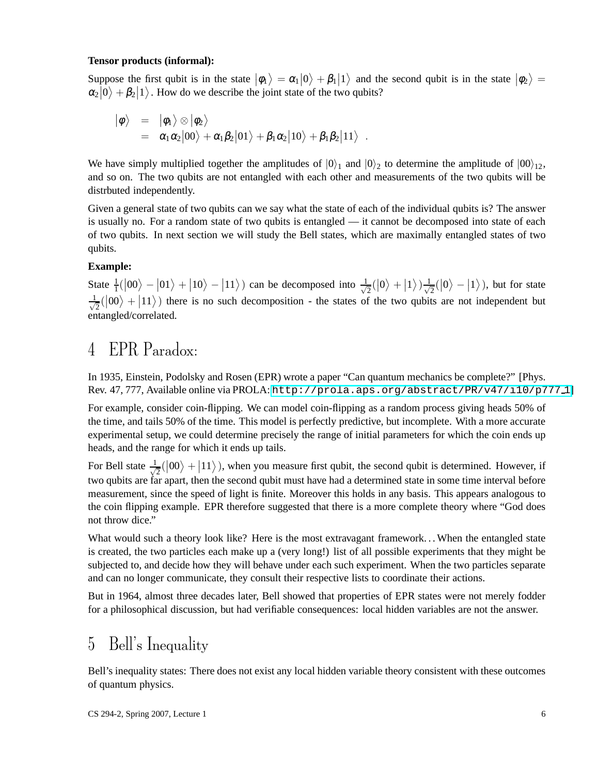### **Tensor products (informal):**

Suppose the first qubit is in the state  $|\phi_1\rangle = \alpha_1 |0\rangle + \beta_1 |1\rangle$  and the second qubit is in the state  $|\phi_2\rangle = |\phi_1\rangle + \beta_1 |1\rangle$  $\alpha_2|0\rangle + \beta_2|1\rangle$ . How do we describe the joint state of the two qubits?

$$
\begin{array}{rcl} \big|\phi\big\rangle &=& \big|\phi_1\big\rangle\otimes\big|\phi_2\big\rangle \\ &=& \alpha_1\alpha_2\big|00\big\rangle+\alpha_1\beta_2\big|01\big\rangle+\beta_1\alpha_2\big|10\big\rangle+\beta_1\beta_2\big|11\big\rangle\enspace. \end{array}
$$

We have simply multiplied together the amplitudes of  $|0\rangle_1$  and  $|0\rangle_2$  to determine the amplitude of  $|00\rangle_{12}$ , and so on. The two qubits are not entangled with each other and measurements of the two qubits will be distrbuted independently.

Given a general state of two qubits can we say what the state of each of the individual qubits is? The answer is usually no. For a random state of two qubits is entangled — it cannot be decomposed into state of each of two qubits. In next section we will study the Bell states, which are maximally entangled states of two qubits.

### **Example:**

State  $\frac{1}{1}(|00\rangle - |01\rangle + |10\rangle - |11\rangle)$  can be decomposed into  $\frac{1}{\sqrt{2}}$  $\frac{1}{2}(|0\rangle+|1\rangle)\frac{1}{\sqrt{2}}$  $\frac{1}{2}(|0\rangle - |1\rangle)$ , but for state √ 1  $\frac{1}{2}(|00\rangle + |11\rangle)$  there is no such decomposition - the states of the two qubits are not independent but entangled/correlated.

# 4 EPR Paradox:

In 1935, Einstein, Podolsky and Rosen (EPR) wrote a paper "Can quantum mechanics be complete?" [Phys. Rev. 47, 777, Available online via PROLA: [http://prola.aps.org/abstract/PR/v47/i10/p777](http://prola.aps.org/abstract/PR/v47/i10/p777_1) 1]

For example, consider coin-flipping. We can model coin-flipping as a random process giving heads 50% of the time, and tails 50% of the time. This model is perfectly predictive, but incomplete. With a more accurate experimental setup, we could determine precisely the range of initial parameters for which the coin ends up heads, and the range for which it ends up tails.

For Bell state  $\frac{1}{\sqrt{2}}$  $\frac{1}{2}(|00\rangle + |11\rangle)$ , when you measure first qubit, the second qubit is determined. However, if two qubits are far apart, then the second qubit must have had a determined state in some time interval before measurement, since the speed of light is finite. Moreover this holds in any basis. This appears analogous to the coin flipping example. EPR therefore suggested that there is a more complete theory where "God does not throw dice."

What would such a theory look like? Here is the most extravagant framework... When the entangled state is created, the two particles each make up a (very long!) list of all possible experiments that they might be subjected to, and decide how they will behave under each such experiment. When the two particles separate and can no longer communicate, they consult their respective lists to coordinate their actions.

But in 1964, almost three decades later, Bell showed that properties of EPR states were not merely fodder for a philosophical discussion, but had verifiable consequences: local hidden variables are not the answer.

## 5 Bell's Inequality

Bell's inequality states: There does not exist any local hidden variable theory consistent with these outcomes of quantum physics.